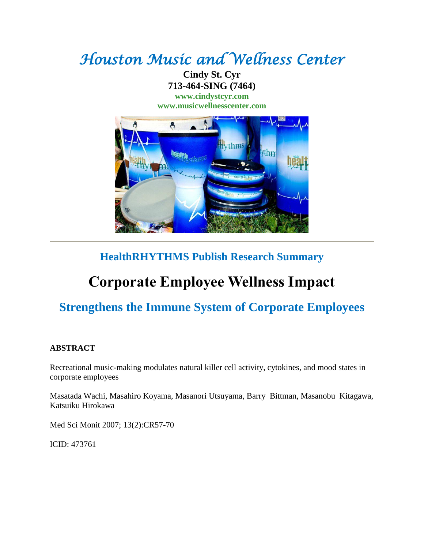# *Houston Music and Wellness Center*

**Cindy St. Cyr 713-464-SING (7464) [www.cindystcyr.com](http://www.cindystcyr.com/)**

**[www.musicwellnesscenter.com](http://www.musicwellnesscenter.com/)**



# **HealthRHYTHMS Publish Research Summary**

# **Corporate Employee Wellness Impact**

# **Strengthens the Immune System of Corporate Employees**

## **ABSTRACT**

Recreational music-making modulates natural killer cell activity, cytokines, and mood states in corporate employees

Masatada Wachi, Masahiro Koyama, Masanori Utsuyama, Barry Bittman, Masanobu Kitagawa, Katsuiku Hirokawa

Med Sci Monit 2007; 13(2):CR57-70

ICID: 473761